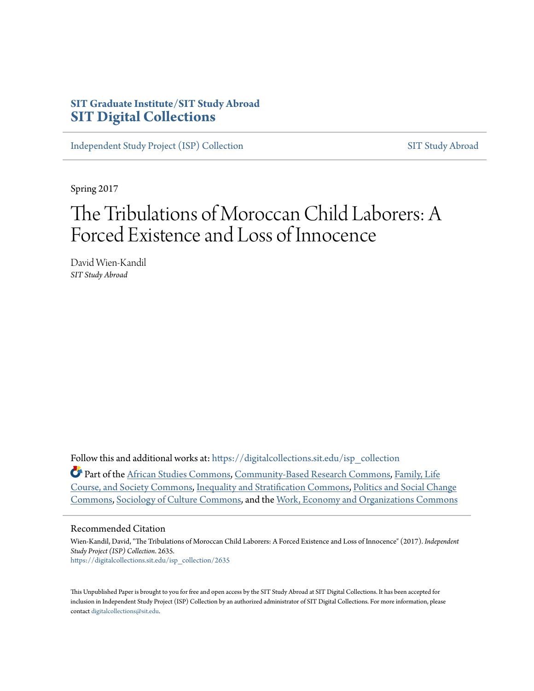# **SIT Graduate Institute/SIT Study Abroad [SIT Digital Collections](https://digitalcollections.sit.edu?utm_source=digitalcollections.sit.edu%2Fisp_collection%2F2635&utm_medium=PDF&utm_campaign=PDFCoverPages)**

[Independent Study Project \(ISP\) Collection](https://digitalcollections.sit.edu/isp_collection?utm_source=digitalcollections.sit.edu%2Fisp_collection%2F2635&utm_medium=PDF&utm_campaign=PDFCoverPages) [SIT Study Abroad](https://digitalcollections.sit.edu/study_abroad?utm_source=digitalcollections.sit.edu%2Fisp_collection%2F2635&utm_medium=PDF&utm_campaign=PDFCoverPages)

Spring 2017

# The Tribulations of Moroccan Child Laborers: A Forced Existence and Loss of Innocence

David Wien-Kandil *SIT Study Abroad*

Follow this and additional works at: [https://digitalcollections.sit.edu/isp\\_collection](https://digitalcollections.sit.edu/isp_collection?utm_source=digitalcollections.sit.edu%2Fisp_collection%2F2635&utm_medium=PDF&utm_campaign=PDFCoverPages)

Part of the [African Studies Commons](http://network.bepress.com/hgg/discipline/1043?utm_source=digitalcollections.sit.edu%2Fisp_collection%2F2635&utm_medium=PDF&utm_campaign=PDFCoverPages), [Community-Based Research Commons,](http://network.bepress.com/hgg/discipline/1047?utm_source=digitalcollections.sit.edu%2Fisp_collection%2F2635&utm_medium=PDF&utm_campaign=PDFCoverPages) [Family, Life](http://network.bepress.com/hgg/discipline/419?utm_source=digitalcollections.sit.edu%2Fisp_collection%2F2635&utm_medium=PDF&utm_campaign=PDFCoverPages) [Course, and Society Commons,](http://network.bepress.com/hgg/discipline/419?utm_source=digitalcollections.sit.edu%2Fisp_collection%2F2635&utm_medium=PDF&utm_campaign=PDFCoverPages) [Inequality and Stratification Commons](http://network.bepress.com/hgg/discipline/421?utm_source=digitalcollections.sit.edu%2Fisp_collection%2F2635&utm_medium=PDF&utm_campaign=PDFCoverPages), [Politics and Social Change](http://network.bepress.com/hgg/discipline/425?utm_source=digitalcollections.sit.edu%2Fisp_collection%2F2635&utm_medium=PDF&utm_campaign=PDFCoverPages) [Commons,](http://network.bepress.com/hgg/discipline/425?utm_source=digitalcollections.sit.edu%2Fisp_collection%2F2635&utm_medium=PDF&utm_campaign=PDFCoverPages) [Sociology of Culture Commons,](http://network.bepress.com/hgg/discipline/431?utm_source=digitalcollections.sit.edu%2Fisp_collection%2F2635&utm_medium=PDF&utm_campaign=PDFCoverPages) and the [Work, Economy and Organizations Commons](http://network.bepress.com/hgg/discipline/433?utm_source=digitalcollections.sit.edu%2Fisp_collection%2F2635&utm_medium=PDF&utm_campaign=PDFCoverPages)

#### Recommended Citation

Wien-Kandil, David, "The Tribulations of Moroccan Child Laborers: A Forced Existence and Loss of Innocence" (2017). *Independent Study Project (ISP) Collection*. 2635. [https://digitalcollections.sit.edu/isp\\_collection/2635](https://digitalcollections.sit.edu/isp_collection/2635?utm_source=digitalcollections.sit.edu%2Fisp_collection%2F2635&utm_medium=PDF&utm_campaign=PDFCoverPages)

This Unpublished Paper is brought to you for free and open access by the SIT Study Abroad at SIT Digital Collections. It has been accepted for inclusion in Independent Study Project (ISP) Collection by an authorized administrator of SIT Digital Collections. For more information, please contact [digitalcollections@sit.edu](mailto:digitalcollections@sit.edu).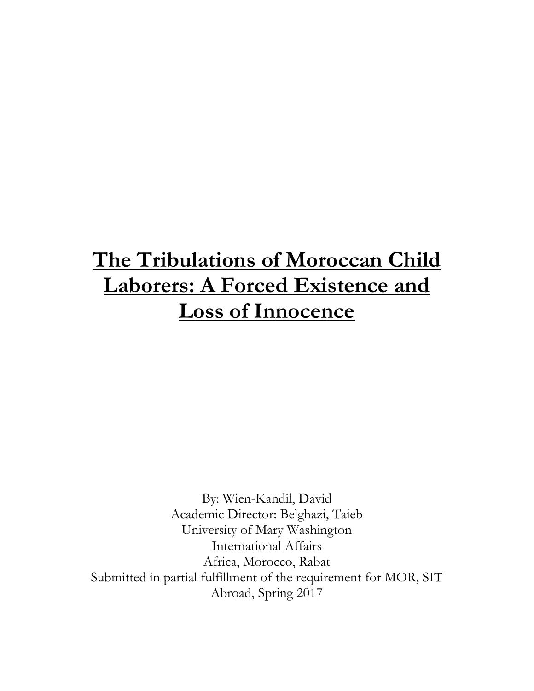# **The Tribulations of Moroccan Child Laborers: A Forced Existence and Loss of Innocence**

By: Wien-Kandil, David Academic Director: Belghazi, Taieb University of Mary Washington International Affairs Africa, Morocco, Rabat Submitted in partial fulfillment of the requirement for MOR, SIT Abroad, Spring 2017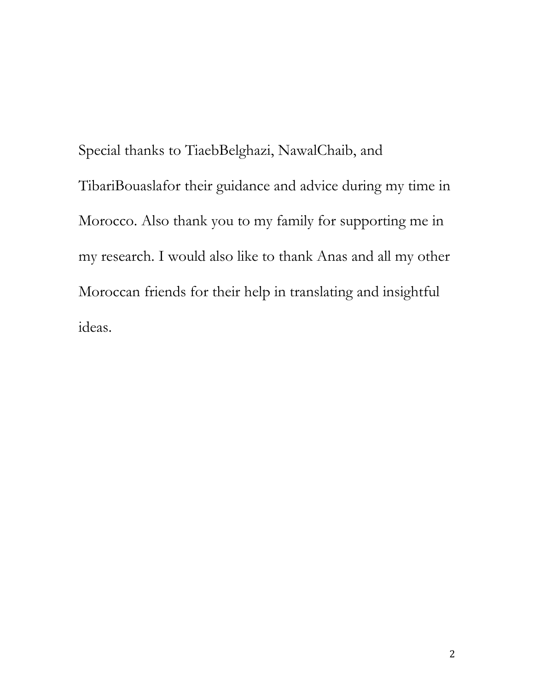Special thanks to TiaebBelghazi, NawalChaib, and TibariBouaslafor their guidance and advice during my time in Morocco. Also thank you to my family for supporting me in my research. I would also like to thank Anas and all my other Moroccan friends for their help in translating and insightful ideas.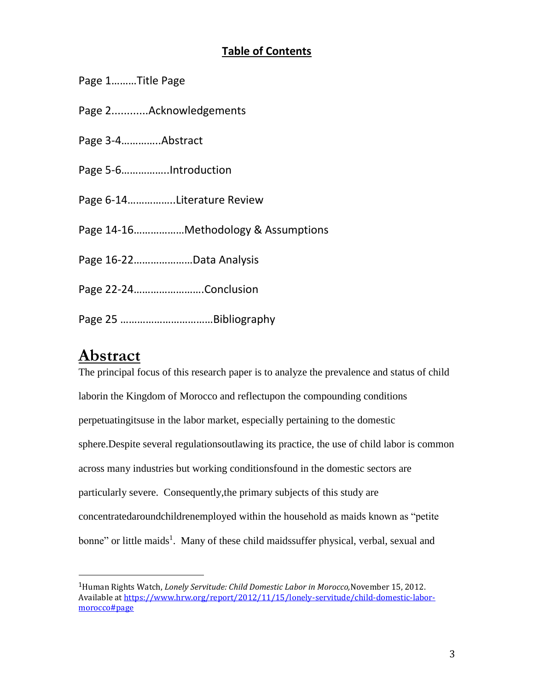# **Table of Contents**

|  |  | Page 1Title Page |  |
|--|--|------------------|--|
|--|--|------------------|--|

- Page 2............Acknowledgements
- Page 3-4…………..Abstract
- Page 5-6……………..Introduction
- Page 6-14……………..Literature Review
- Page 14-16………………Methodology & Assumptions
- Page 16-22…………………Data Analysis
- Page 22-24…………………….Conclusion
- Page 25 ……………………………Bibliography

# **Abstract**

 $\overline{a}$ 

The principal focus of this research paper is to analyze the prevalence and status of child laborin the Kingdom of Morocco and reflectupon the compounding conditions perpetuatingitsuse in the labor market, especially pertaining to the domestic sphere.Despite several regulationsoutlawing its practice, the use of child labor is common across many industries but working conditionsfound in the domestic sectors are particularly severe. Consequently,the primary subjects of this study are concentratedaroundchildrenemployed within the household as maids known as "petite bonne" or little maids<sup>1</sup>. Many of these child maidssuffer physical, verbal, sexual and

<sup>1</sup>Human Rights Watch, *Lonely Servitude: Child Domestic Labor in Morocco,*November 15, 2012. Available a[t https://www.hrw.org/report/2012/11/15/lonely-servitude/child-domestic-labor](https://www.hrw.org/report/2012/11/15/lonely-servitude/child-domestic-labor-morocco#page)[morocco#page](https://www.hrw.org/report/2012/11/15/lonely-servitude/child-domestic-labor-morocco#page)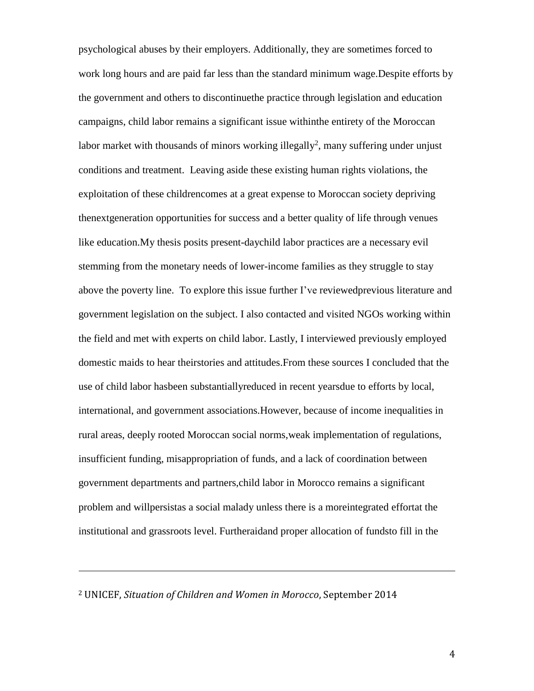psychological abuses by their employers. Additionally, they are sometimes forced to work long hours and are paid far less than the standard minimum wage.Despite efforts by the government and others to discontinuethe practice through legislation and education campaigns, child labor remains a significant issue withinthe entirety of the Moroccan labor market with thousands of minors working illegally<sup>2</sup>, many suffering under unjust conditions and treatment. Leaving aside these existing human rights violations, the exploitation of these childrencomes at a great expense to Moroccan society depriving thenextgeneration opportunities for success and a better quality of life through venues like education.My thesis posits present-daychild labor practices are a necessary evil stemming from the monetary needs of lower-income families as they struggle to stay above the poverty line. To explore this issue further I've reviewedprevious literature and government legislation on the subject. I also contacted and visited NGOs working within the field and met with experts on child labor. Lastly, I interviewed previously employed domestic maids to hear theirstories and attitudes.From these sources I concluded that the use of child labor hasbeen substantiallyreduced in recent yearsdue to efforts by local, international, and government associations.However, because of income inequalities in rural areas, deeply rooted Moroccan social norms,weak implementation of regulations, insufficient funding, misappropriation of funds, and a lack of coordination between government departments and partners,child labor in Morocco remains a significant problem and willpersistas a social malady unless there is a moreintegrated effortat the institutional and grassroots level. Furtheraidand proper allocation of fundsto fill in the

#### <sup>2</sup> UNICEF, *Situation of Children and Women in Morocco*, September 2014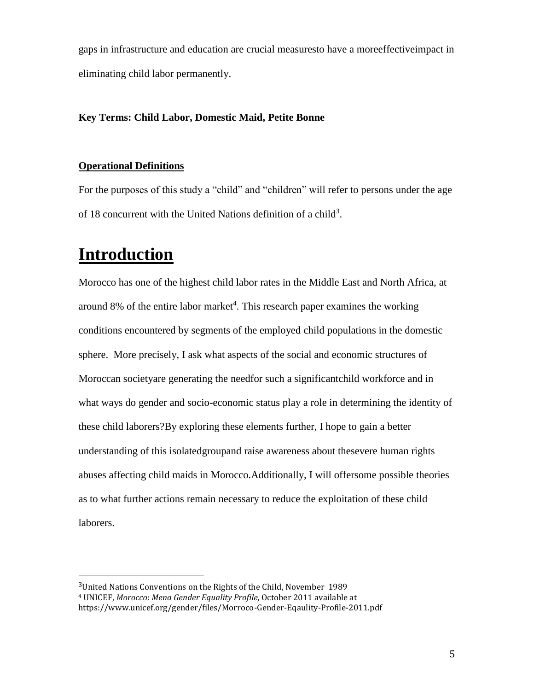gaps in infrastructure and education are crucial measuresto have a moreeffectiveimpact in eliminating child labor permanently.

### **Key Terms: Child Labor, Domestic Maid, Petite Bonne**

### **Operational Definitions**

For the purposes of this study a "child" and "children" will refer to persons under the age of 18 concurrent with the United Nations definition of a child<sup>3</sup>.

# **Introduction**

 $\overline{a}$ 

Morocco has one of the highest child labor rates in the Middle East and North Africa, at around 8% of the entire labor market<sup>4</sup>. This research paper examines the working conditions encountered by segments of the employed child populations in the domestic sphere. More precisely, I ask what aspects of the social and economic structures of Moroccan societyare generating the needfor such a significantchild workforce and in what ways do gender and socio-economic status play a role in determining the identity of these child laborers?By exploring these elements further, I hope to gain a better understanding of this isolatedgroupand raise awareness about thesevere human rights abuses affecting child maids in Morocco.Additionally, I will offersome possible theories as to what further actions remain necessary to reduce the exploitation of these child laborers.

<sup>3</sup>United Nations Conventions on the Rights of the Child, November 1989

<sup>4</sup> UNICEF, *Morocco*: *Mena Gender Equality Profile,* October 2011 available at

https://www.unicef.org/gender/files/Morroco-Gender-Eqaulity-Profile-2011.pdf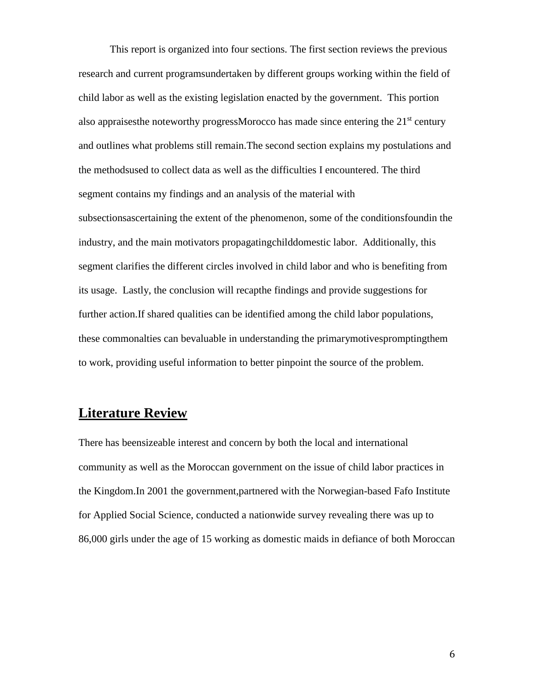This report is organized into four sections. The first section reviews the previous research and current programsundertaken by different groups working within the field of child labor as well as the existing legislation enacted by the government. This portion also appraises the noteworthy progress Morocco has made since entering the  $21<sup>st</sup>$  century and outlines what problems still remain.The second section explains my postulations and the methodsused to collect data as well as the difficulties I encountered. The third segment contains my findings and an analysis of the material with subsectionsascertaining the extent of the phenomenon, some of the conditionsfoundin the industry, and the main motivators propagatingchilddomestic labor. Additionally, this segment clarifies the different circles involved in child labor and who is benefiting from its usage. Lastly, the conclusion will recapthe findings and provide suggestions for further action.If shared qualities can be identified among the child labor populations, these commonalties can bevaluable in understanding the primarymotivespromptingthem to work, providing useful information to better pinpoint the source of the problem.

### **Literature Review**

There has beensizeable interest and concern by both the local and international community as well as the Moroccan government on the issue of child labor practices in the Kingdom.In 2001 the government,partnered with the Norwegian-based Fafo Institute for Applied Social Science, conducted a nationwide survey revealing there was up to 86,000 girls under the age of 15 working as domestic maids in defiance of both Moroccan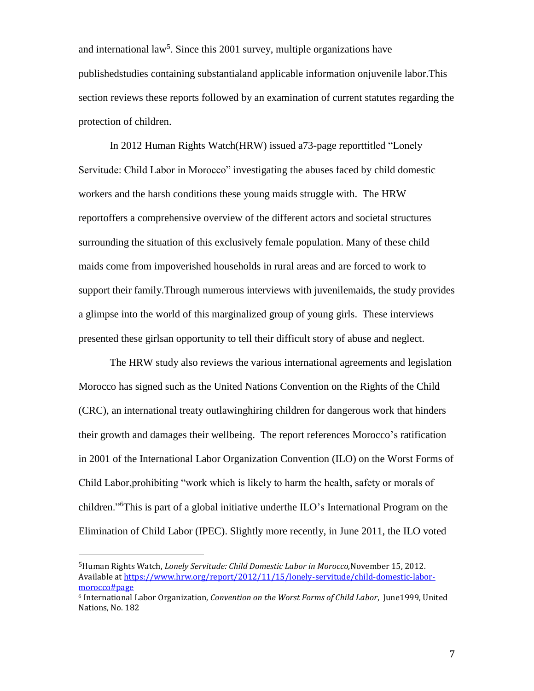and international  $law<sup>5</sup>$ . Since this 2001 survey, multiple organizations have publishedstudies containing substantialand applicable information onjuvenile labor.This section reviews these reports followed by an examination of current statutes regarding the protection of children.

In 2012 Human Rights Watch(HRW) issued a73-page reporttitled "Lonely Servitude: Child Labor in Morocco" investigating the abuses faced by child domestic workers and the harsh conditions these young maids struggle with. The HRW reportoffers a comprehensive overview of the different actors and societal structures surrounding the situation of this exclusively female population. Many of these child maids come from impoverished households in rural areas and are forced to work to support their family.Through numerous interviews with juvenilemaids, the study provides a glimpse into the world of this marginalized group of young girls. These interviews presented these girlsan opportunity to tell their difficult story of abuse and neglect.

The HRW study also reviews the various international agreements and legislation Morocco has signed such as the United Nations Convention on the Rights of the Child (CRC), an international treaty outlawinghiring children for dangerous work that hinders their growth and damages their wellbeing. The report references Morocco's ratification in 2001 of the International Labor Organization Convention (ILO) on the Worst Forms of Child Labor,prohibiting "work which is likely to harm the health, safety or morals of children."<sup>6</sup>This is part of a global initiative underthe ILO's International Program on the Elimination of Child Labor (IPEC). Slightly more recently, in June 2011, the ILO voted

<sup>5</sup>Human Rights Watch, *Lonely Servitude: Child Domestic Labor in Morocco,*November 15, 2012. Available a[t https://www.hrw.org/report/2012/11/15/lonely-servitude/child-domestic-labor](https://www.hrw.org/report/2012/11/15/lonely-servitude/child-domestic-labor-morocco#page)[morocco#page](https://www.hrw.org/report/2012/11/15/lonely-servitude/child-domestic-labor-morocco#page)

<sup>6</sup> International Labor Organization, *Convention on the Worst Forms of Child Labor*, June1999, United Nations, No. 182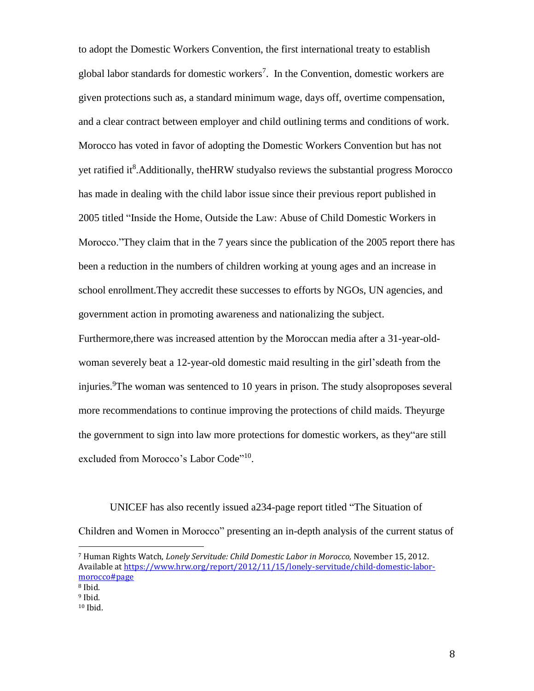to adopt the Domestic Workers Convention, the first international treaty to establish global labor standards for domestic workers<sup>7</sup>. In the Convention, domestic workers are given protections such as, a standard minimum wage, days off, overtime compensation, and a clear contract between employer and child outlining terms and conditions of work. Morocco has voted in favor of adopting the Domestic Workers Convention but has not yet ratified it<sup>8</sup>. Additionally, the HRW studyalso reviews the substantial progress Morocco has made in dealing with the child labor issue since their previous report published in 2005 titled "Inside the Home, Outside the Law: Abuse of Child Domestic Workers in Morocco."They claim that in the 7 years since the publication of the 2005 report there has been a reduction in the numbers of children working at young ages and an increase in school enrollment.They accredit these successes to efforts by NGOs, UN agencies, and government action in promoting awareness and nationalizing the subject. Furthermore,there was increased attention by the Moroccan media after a 31-year-oldwoman severely beat a 12-year-old domestic maid resulting in the girl'sdeath from the injuries. <sup>9</sup>The woman was sentenced to 10 years in prison. The study alsoproposes several more recommendations to continue improving the protections of child maids. Theyurge the government to sign into law more protections for domestic workers, as they"are still excluded from Morocco's Labor Code"<sup>10</sup>.

UNICEF has also recently issued a234-page report titled "The Situation of Children and Women in Morocco" presenting an in-depth analysis of the current status of

l

<sup>10</sup> Ibid.

<sup>7</sup> Human Rights Watch, *Lonely Servitude: Child Domestic Labor in Morocco,* November 15, 2012. Available a[t https://www.hrw.org/report/2012/11/15/lonely-servitude/child-domestic-labor](https://www.hrw.org/report/2012/11/15/lonely-servitude/child-domestic-labor-morocco#page)[morocco#page](https://www.hrw.org/report/2012/11/15/lonely-servitude/child-domestic-labor-morocco#page)

<sup>8</sup> Ibid.

<sup>9</sup> Ibid.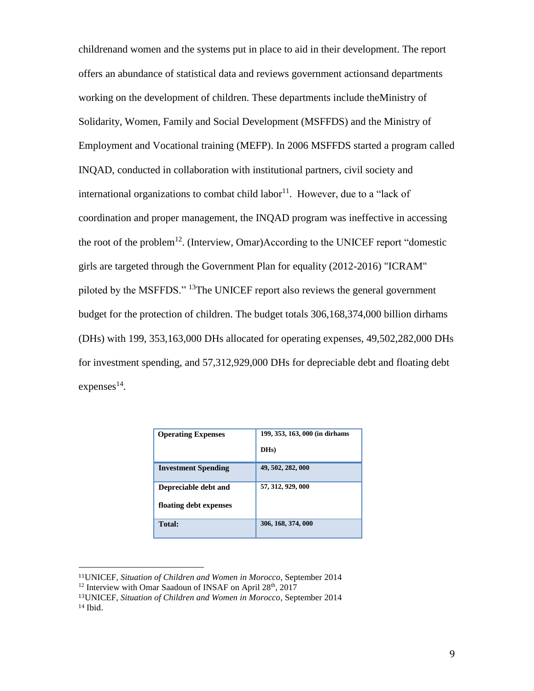childrenand women and the systems put in place to aid in their development. The report offers an abundance of statistical data and reviews government actionsand departments working on the development of children. These departments include theMinistry of Solidarity, Women, Family and Social Development (MSFFDS) and the Ministry of Employment and Vocational training (MEFP). In 2006 MSFFDS started a program called INQAD, conducted in collaboration with institutional partners, civil society and international organizations to combat child labor $11$ . However, due to a "lack of coordination and proper management, the INQAD program was ineffective in accessing the root of the problem<sup>12</sup>. (Interview, Omar)According to the UNICEF report "domestic girls are targeted through the Government Plan for equality (2012-2016) "ICRAM" piloted by the MSFFDS." <sup>13</sup>The UNICEF report also reviews the general government budget for the protection of children. The budget totals 306,168,374,000 billion dirhams (DHs) with 199, 353,163,000 DHs allocated for operating expenses, 49,502,282,000 DHs for investment spending, and 57,312,929,000 DHs for depreciable debt and floating debt  $expenses<sup>14</sup>$ .

| <b>Operating Expenses</b>  | 199, 353, 163, 000 (in dirhams)<br>DH <sub>s</sub> ) |
|----------------------------|------------------------------------------------------|
| <b>Investment Spending</b> | 49, 502, 282, 000                                    |
| Depreciable debt and       | 57, 312, 929, 000                                    |
| floating debt expenses     |                                                      |
| <b>Total:</b>              | 306, 168, 374, 000                                   |

<sup>11</sup>UNICEF*, Situation of Children and Women in Morocco*, September 2014

l

<sup>&</sup>lt;sup>12</sup> Interview with Omar Saadoun of INSAF on April 28<sup>th</sup>, 2017

<sup>13</sup>UNICEF, *Situation of Children and Women in Morocco*, September 2014 <sup>14</sup> Ibid.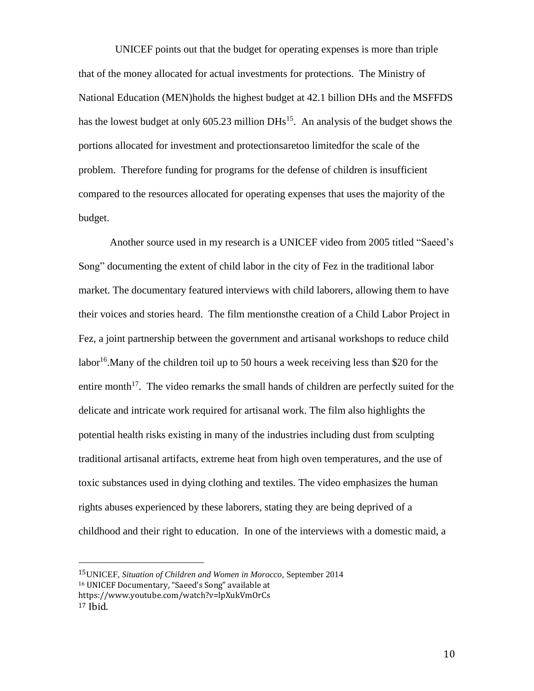UNICEF points out that the budget for operating expenses is more than triple that of the money allocated for actual investments for protections. The Ministry of National Education (MEN)holds the highest budget at 42.1 billion DHs and the MSFFDS has the lowest budget at only  $605.23$  million DHs<sup>15</sup>. An analysis of the budget shows the portions allocated for investment and protectionsaretoo limitedfor the scale of the problem. Therefore funding for programs for the defense of children is insufficient compared to the resources allocated for operating expenses that uses the majority of the budget.

Another source used in my research is a UNICEF video from 2005 titled "Saeed's Song" documenting the extent of child labor in the city of Fez in the traditional labor market. The documentary featured interviews with child laborers, allowing them to have their voices and stories heard. The film mentionsthe creation of a Child Labor Project in Fez, a joint partnership between the government and artisanal workshops to reduce child labor<sup>16</sup>. Many of the children toil up to 50 hours a week receiving less than \$20 for the entire month<sup>17</sup>. The video remarks the small hands of children are perfectly suited for the delicate and intricate work required for artisanal work. The film also highlights the potential health risks existing in many of the industries including dust from sculpting traditional artisanal artifacts, extreme heat from high oven temperatures, and the use of toxic substances used in dying clothing and textiles. The video emphasizes the human rights abuses experienced by these laborers, stating they are being deprived of a childhood and their right to education. In one of the interviews with a domestic maid, a

<sup>15</sup>UNICEF, *Situation of Children and Women in Morocco*, September 2014

<sup>16</sup> UNICEF Documentary, "Saeed's Song" available at

https://www.youtube.com/watch?v=lpXukVmOrCs

<sup>17</sup> Ibid.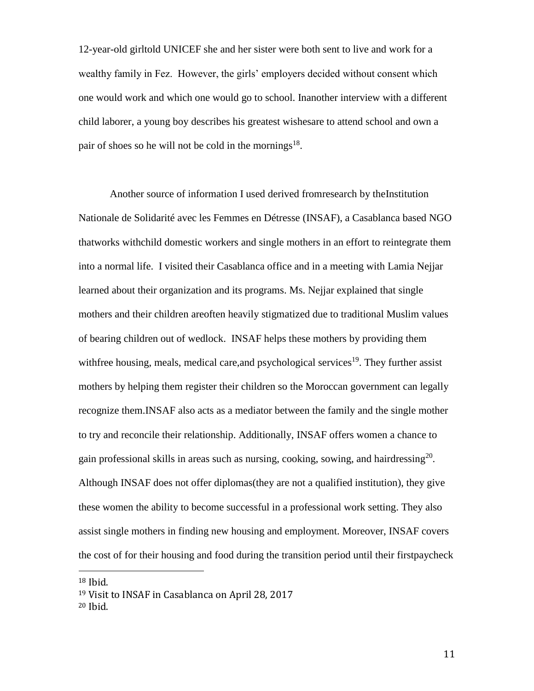12-year-old girltold UNICEF she and her sister were both sent to live and work for a wealthy family in Fez. However, the girls' employers decided without consent which one would work and which one would go to school. Inanother interview with a different child laborer, a young boy describes his greatest wishesare to attend school and own a pair of shoes so he will not be cold in the mornings<sup>18</sup>.

Another source of information I used derived fromresearch by theInstitution Nationale de Solidarité avec les Femmes en Détresse (INSAF), a Casablanca based NGO thatworks withchild domestic workers and single mothers in an effort to reintegrate them into a normal life. I visited their Casablanca office and in a meeting with Lamia Nejjar learned about their organization and its programs. Ms. Nejjar explained that single mothers and their children areoften heavily stigmatized due to traditional Muslim values of bearing children out of wedlock. INSAF helps these mothers by providing them with free housing, meals, medical care, and psychological services<sup>19</sup>. They further assist mothers by helping them register their children so the Moroccan government can legally recognize them.INSAF also acts as a mediator between the family and the single mother to try and reconcile their relationship. Additionally, INSAF offers women a chance to gain professional skills in areas such as nursing, cooking, sowing, and hairdressing<sup>20</sup>. Although INSAF does not offer diplomas(they are not a qualified institution), they give these women the ability to become successful in a professional work setting. They also assist single mothers in finding new housing and employment. Moreover, INSAF covers the cost of for their housing and food during the transition period until their firstpaycheck

<sup>18</sup> Ibid.

<sup>19</sup> Visit to INSAF in Casablanca on April 28, 2017 <sup>20</sup> Ibid.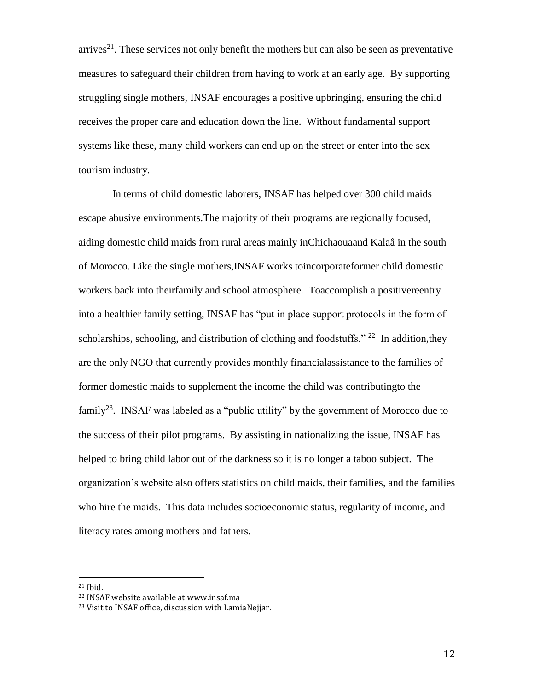arrives<sup>21</sup>. These services not only benefit the mothers but can also be seen as preventative measures to safeguard their children from having to work at an early age. By supporting struggling single mothers, INSAF encourages a positive upbringing, ensuring the child receives the proper care and education down the line. Without fundamental support systems like these, many child workers can end up on the street or enter into the sex tourism industry.

In terms of child domestic laborers, INSAF has helped over 300 child maids escape abusive environments.The majority of their programs are regionally focused, aiding domestic child maids from rural areas mainly inChichaouaand Kalaâ in the south of Morocco. Like the single mothers,INSAF works toincorporateformer child domestic workers back into theirfamily and school atmosphere. Toaccomplish a positivereentry into a healthier family setting, INSAF has "put in place support protocols in the form of scholarships, schooling, and distribution of clothing and foodstuffs."  $22$  In addition, they are the only NGO that currently provides monthly financialassistance to the families of former domestic maids to supplement the income the child was contributingto the family<sup>23</sup>. INSAF was labeled as a "public utility" by the government of Morocco due to the success of their pilot programs. By assisting in nationalizing the issue, INSAF has helped to bring child labor out of the darkness so it is no longer a taboo subject. The organization's website also offers statistics on child maids, their families, and the families who hire the maids. This data includes socioeconomic status, regularity of income, and literacy rates among mothers and fathers.

<sup>21</sup> Ibid.

<sup>22</sup> INSAF website available at www.insaf.ma

<sup>23</sup> Visit to INSAF office, discussion with LamiaNejjar.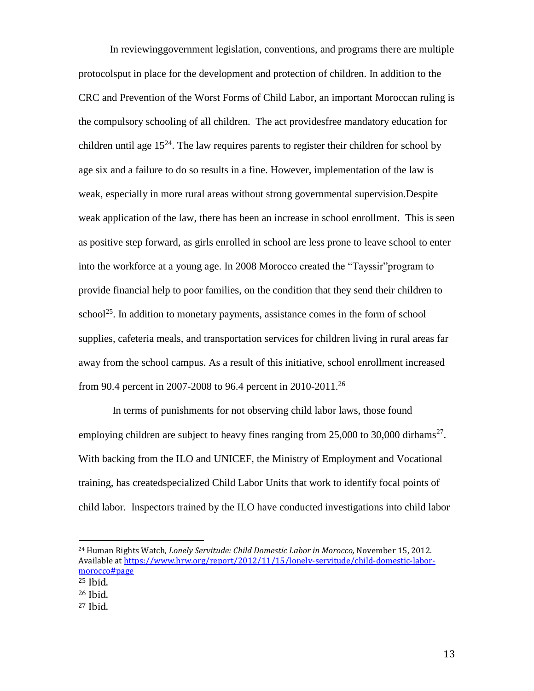In reviewinggovernment legislation, conventions, and programs there are multiple protocolsput in place for the development and protection of children. In addition to the CRC and Prevention of the Worst Forms of Child Labor, an important Moroccan ruling is the compulsory schooling of all children. The act providesfree mandatory education for children until age  $15^{24}$ . The law requires parents to register their children for school by age six and a failure to do so results in a fine. However, implementation of the law is weak, especially in more rural areas without strong governmental supervision.Despite weak application of the law, there has been an increase in school enrollment. This is seen as positive step forward, as girls enrolled in school are less prone to leave school to enter into the workforce at a young age. In 2008 Morocco created the "Tayssir"program to provide financial help to poor families, on the condition that they send their children to school<sup>25</sup>. In addition to monetary payments, assistance comes in the form of school supplies, cafeteria meals, and transportation services for children living in rural areas far away from the school campus. As a result of this initiative, school enrollment increased from 90.4 percent in 2007-2008 to 96.4 percent in 2010-2011.<sup>26</sup>

In terms of punishments for not observing child labor laws, those found employing children are subject to heavy fines ranging from  $25,000$  to  $30,000$  dirhams<sup>27</sup>. With backing from the ILO and UNICEF, the Ministry of Employment and Vocational training, has createdspecialized Child Labor Units that work to identify focal points of child labor. Inspectors trained by the ILO have conducted investigations into child labor

l

<sup>24</sup> Human Rights Watch, *Lonely Servitude: Child Domestic Labor in Morocco,* November 15, 2012. Available a[t https://www.hrw.org/report/2012/11/15/lonely-servitude/child-domestic-labor](https://www.hrw.org/report/2012/11/15/lonely-servitude/child-domestic-labor-morocco#page)[morocco#page](https://www.hrw.org/report/2012/11/15/lonely-servitude/child-domestic-labor-morocco#page)

<sup>25</sup> Ibid.

<sup>26</sup> Ibid.

<sup>27</sup> Ibid.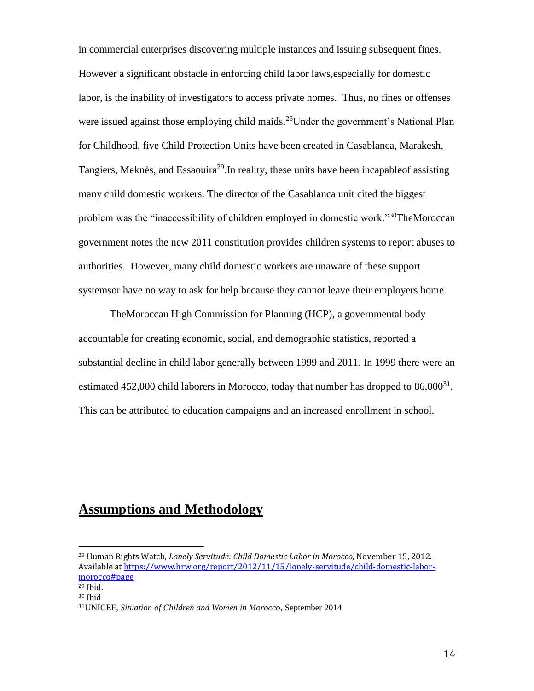in commercial enterprises discovering multiple instances and issuing subsequent fines. However a significant obstacle in enforcing child labor laws,especially for domestic labor, is the inability of investigators to access private homes. Thus, no fines or offenses were issued against those employing child maids.<sup>28</sup>Under the government's National Plan for Childhood, five Child Protection Units have been created in Casablanca, Marakesh, Tangiers, Meknès, and Essaouira<sup>29</sup>. In reality, these units have been incapable of assisting many child domestic workers. The director of the Casablanca unit cited the biggest problem was the "inaccessibility of children employed in domestic work."<sup>30</sup>TheMoroccan government notes the new 2011 constitution provides children systems to report abuses to authorities. However, many child domestic workers are unaware of these support systemsor have no way to ask for help because they cannot leave their employers home.

TheMoroccan High Commission for Planning (HCP), a governmental body accountable for creating economic, social, and demographic statistics, reported a substantial decline in child labor generally between 1999 and 2011. In 1999 there were an estimated 452,000 child laborers in Morocco, today that number has dropped to  $86,000^{31}$ . This can be attributed to education campaigns and an increased enrollment in school.

# **Assumptions and Methodology**

l

<sup>28</sup> Human Rights Watch, *Lonely Servitude: Child Domestic Labor in Morocco,* November 15, 2012. Available a[t https://www.hrw.org/report/2012/11/15/lonely-servitude/child-domestic-labor](https://www.hrw.org/report/2012/11/15/lonely-servitude/child-domestic-labor-morocco#page)[morocco#page](https://www.hrw.org/report/2012/11/15/lonely-servitude/child-domestic-labor-morocco#page)

<sup>29</sup> Ibid. <sup>30</sup> Ibid

<sup>31</sup>UNICEF, *Situation of Children and Women in Morocco*, September 2014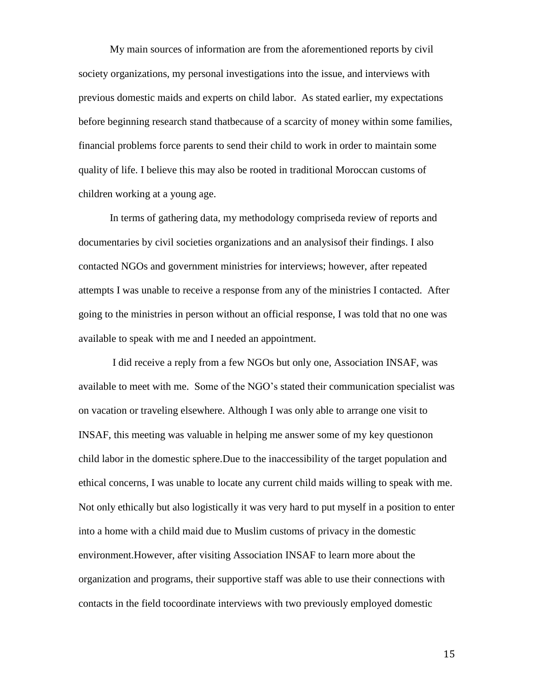My main sources of information are from the aforementioned reports by civil society organizations, my personal investigations into the issue, and interviews with previous domestic maids and experts on child labor. As stated earlier, my expectations before beginning research stand thatbecause of a scarcity of money within some families, financial problems force parents to send their child to work in order to maintain some quality of life. I believe this may also be rooted in traditional Moroccan customs of children working at a young age.

In terms of gathering data, my methodology compriseda review of reports and documentaries by civil societies organizations and an analysisof their findings. I also contacted NGOs and government ministries for interviews; however, after repeated attempts I was unable to receive a response from any of the ministries I contacted. After going to the ministries in person without an official response, I was told that no one was available to speak with me and I needed an appointment.

I did receive a reply from a few NGOs but only one, Association INSAF, was available to meet with me. Some of the NGO's stated their communication specialist was on vacation or traveling elsewhere. Although I was only able to arrange one visit to INSAF, this meeting was valuable in helping me answer some of my key questionon child labor in the domestic sphere.Due to the inaccessibility of the target population and ethical concerns, I was unable to locate any current child maids willing to speak with me. Not only ethically but also logistically it was very hard to put myself in a position to enter into a home with a child maid due to Muslim customs of privacy in the domestic environment.However, after visiting Association INSAF to learn more about the organization and programs, their supportive staff was able to use their connections with contacts in the field tocoordinate interviews with two previously employed domestic

15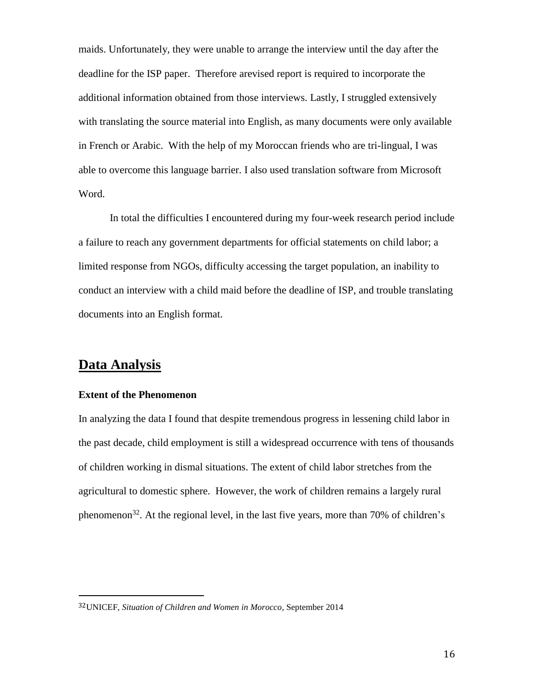maids. Unfortunately, they were unable to arrange the interview until the day after the deadline for the ISP paper. Therefore arevised report is required to incorporate the additional information obtained from those interviews. Lastly, I struggled extensively with translating the source material into English, as many documents were only available in French or Arabic. With the help of my Moroccan friends who are tri-lingual, I was able to overcome this language barrier. I also used translation software from Microsoft Word.

In total the difficulties I encountered during my four-week research period include a failure to reach any government departments for official statements on child labor; a limited response from NGOs, difficulty accessing the target population, an inability to conduct an interview with a child maid before the deadline of ISP, and trouble translating documents into an English format.

### **Data Analysis**

l

### **Extent of the Phenomenon**

In analyzing the data I found that despite tremendous progress in lessening child labor in the past decade, child employment is still a widespread occurrence with tens of thousands of children working in dismal situations. The extent of child labor stretches from the agricultural to domestic sphere. However, the work of children remains a largely rural phenomenon<sup>32</sup>. At the regional level, in the last five years, more than 70% of children's

<sup>32</sup>UNICEF, *Situation of Children and Women in Morocco*, September 2014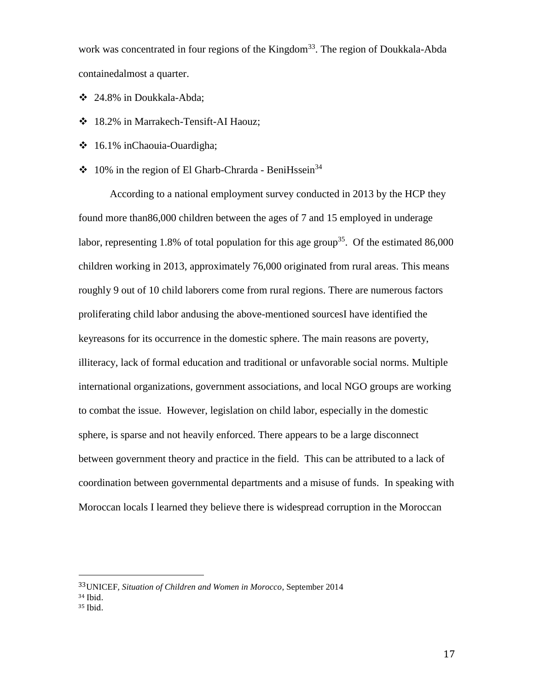work was concentrated in four regions of the Kingdom<sup>33</sup>. The region of Doukkala-Abda containedalmost a quarter.

- ❖ 24.8% in Doukkala-Abda;
- ❖ 18.2% in Marrakech-Tensift-AI Haouz;
- ❖ 16.1% inChaouia-Ouardigha;
- ❖ 10% in the region of El Gharb-Chrarda BeniHssein<sup>34</sup>

According to a national employment survey conducted in 2013 by the HCP they found more than86,000 children between the ages of 7 and 15 employed in underage labor, representing 1.8% of total population for this age group<sup>35</sup>. Of the estimated 86,000 children working in 2013, approximately 76,000 originated from rural areas. This means roughly 9 out of 10 child laborers come from rural regions. There are numerous factors proliferating child labor andusing the above-mentioned sourcesI have identified the keyreasons for its occurrence in the domestic sphere. The main reasons are poverty, illiteracy, lack of formal education and traditional or unfavorable social norms. Multiple international organizations, government associations, and local NGO groups are working to combat the issue. However, legislation on child labor, especially in the domestic sphere, is sparse and not heavily enforced. There appears to be a large disconnect between government theory and practice in the field. This can be attributed to a lack of coordination between governmental departments and a misuse of funds. In speaking with Moroccan locals I learned they believe there is widespread corruption in the Moroccan

<sup>33</sup>UNICEF*, Situation of Children and Women in Morocco*, September 2014 <sup>34</sup> Ibid.

<sup>35</sup> Ibid.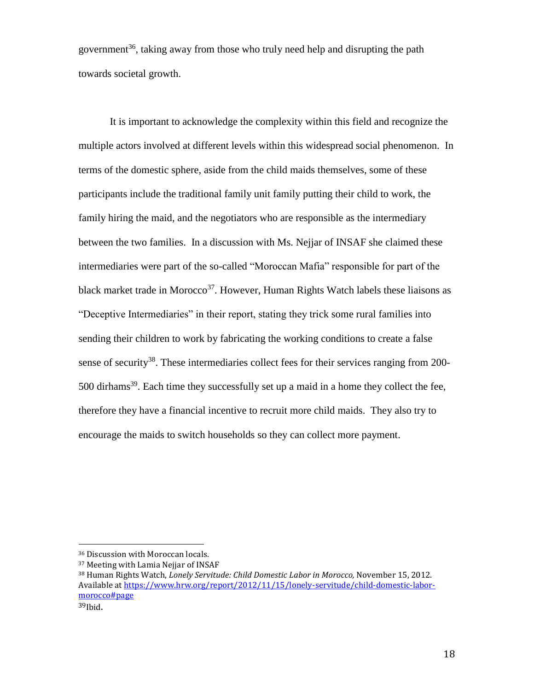government<sup>36</sup>, taking away from those who truly need help and disrupting the path towards societal growth.

It is important to acknowledge the complexity within this field and recognize the multiple actors involved at different levels within this widespread social phenomenon. In terms of the domestic sphere, aside from the child maids themselves, some of these participants include the traditional family unit family putting their child to work, the family hiring the maid, and the negotiators who are responsible as the intermediary between the two families. In a discussion with Ms. Nejjar of INSAF she claimed these intermediaries were part of the so-called "Moroccan Mafia" responsible for part of the black market trade in Morocco<sup>37</sup>. However, Human Rights Watch labels these liaisons as "Deceptive Intermediaries" in their report, stating they trick some rural families into sending their children to work by fabricating the working conditions to create a false sense of security<sup>38</sup>. These intermediaries collect fees for their services ranging from 200- $500$  dirhams<sup>39</sup>. Each time they successfully set up a maid in a home they collect the fee, therefore they have a financial incentive to recruit more child maids. They also try to encourage the maids to switch households so they can collect more payment.

<sup>36</sup> Discussion with Moroccan locals.

<sup>37</sup> Meeting with Lamia Nejjar of INSAF

<sup>38</sup> Human Rights Watch, *Lonely Servitude: Child Domestic Labor in Morocco,* November 15, 2012. Available a[t https://www.hrw.org/report/2012/11/15/lonely-servitude/child-domestic-labor](https://www.hrw.org/report/2012/11/15/lonely-servitude/child-domestic-labor-morocco#page)[morocco#page](https://www.hrw.org/report/2012/11/15/lonely-servitude/child-domestic-labor-morocco#page)

 $39$ Ibid.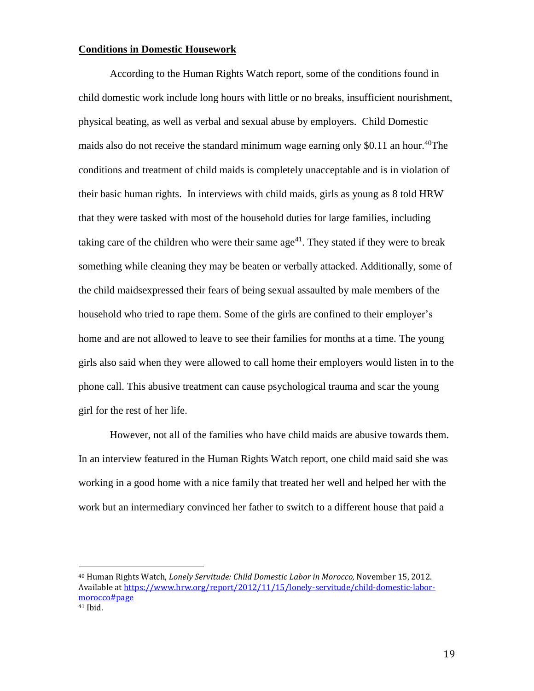### **Conditions in Domestic Housework**

 $\overline{a}$ 

According to the Human Rights Watch report, some of the conditions found in child domestic work include long hours with little or no breaks, insufficient nourishment, physical beating, as well as verbal and sexual abuse by employers. Child Domestic maids also do not receive the standard minimum wage earning only \$0.11 an hour.<sup>40</sup>The conditions and treatment of child maids is completely unacceptable and is in violation of their basic human rights. In interviews with child maids, girls as young as 8 told HRW that they were tasked with most of the household duties for large families, including taking care of the children who were their same age<sup>41</sup>. They stated if they were to break something while cleaning they may be beaten or verbally attacked. Additionally, some of the child maidsexpressed their fears of being sexual assaulted by male members of the household who tried to rape them. Some of the girls are confined to their employer's home and are not allowed to leave to see their families for months at a time. The young girls also said when they were allowed to call home their employers would listen in to the phone call. This abusive treatment can cause psychological trauma and scar the young girl for the rest of her life.

However, not all of the families who have child maids are abusive towards them. In an interview featured in the Human Rights Watch report, one child maid said she was working in a good home with a nice family that treated her well and helped her with the work but an intermediary convinced her father to switch to a different house that paid a

<sup>40</sup> Human Rights Watch, *Lonely Servitude: Child Domestic Labor in Morocco,* November 15, 2012. Available a[t https://www.hrw.org/report/2012/11/15/lonely-servitude/child-domestic-labor](https://www.hrw.org/report/2012/11/15/lonely-servitude/child-domestic-labor-morocco#page)[morocco#page](https://www.hrw.org/report/2012/11/15/lonely-servitude/child-domestic-labor-morocco#page) <sup>41</sup> Ibid.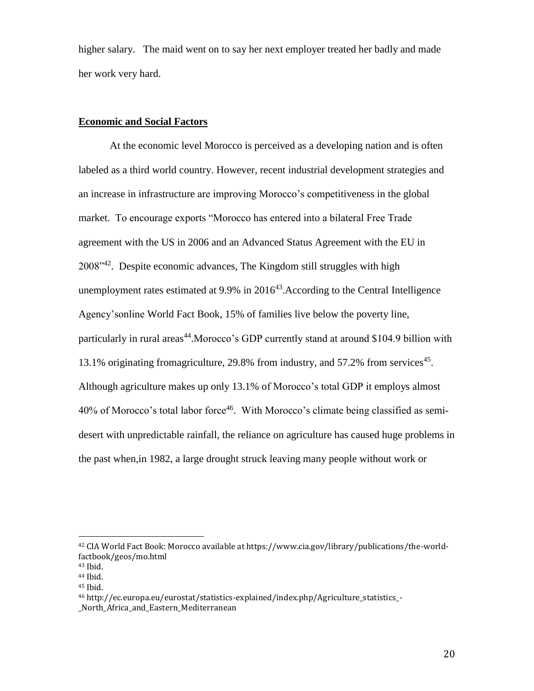higher salary. The maid went on to say her next employer treated her badly and made her work very hard.

### **Economic and Social Factors**

At the economic level Morocco is perceived as a developing nation and is often labeled as a third world country. However, recent industrial development strategies and an increase in infrastructure are improving Morocco's competitiveness in the global market. To encourage exports "Morocco has entered into a bilateral Free Trade agreement with the US in 2006 and an Advanced Status Agreement with the EU in 2008<sup>'42</sup>. Despite economic advances, The Kingdom still struggles with high unemployment rates estimated at  $9.9\%$  in  $2016^{43}$ . According to the Central Intelligence Agency'sonline World Fact Book, 15% of families live below the poverty line, particularly in rural areas<sup>44</sup>. Morocco's GDP currently stand at around \$104.9 billion with 13.1% originating fromagriculture, 29.8% from industry, and 57.2% from services<sup>45</sup>. Although agriculture makes up only 13.1% of Morocco's total GDP it employs almost 40% of Morocco's total labor force<sup>46</sup>. With Morocco's climate being classified as semidesert with unpredictable rainfall, the reliance on agriculture has caused huge problems in the past when,in 1982, a large drought struck leaving many people without work or

<sup>42</sup> CIA World Fact Book: Morocco available at https://www.cia.gov/library/publications/the-worldfactbook/geos/mo.html

<sup>43</sup> Ibid.

<sup>44</sup> Ibid.

<sup>45</sup> Ibid.

<sup>46</sup> http://ec.europa.eu/eurostat/statistics-explained/index.php/Agriculture\_statistics\_- \_North\_Africa\_and\_Eastern\_Mediterranean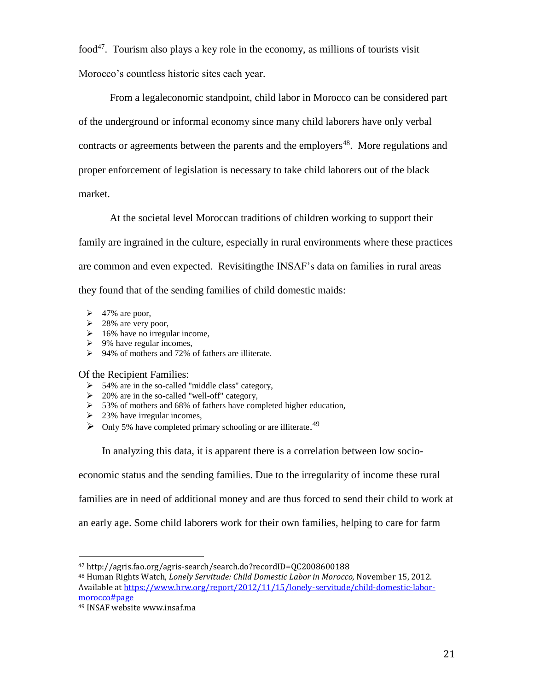food<sup>47</sup>. Tourism also plays a key role in the economy, as millions of tourists visit Morocco's countless historic sites each year.

From a legaleconomic standpoint, child labor in Morocco can be considered part of the underground or informal economy since many child laborers have only verbal contracts or agreements between the parents and the employers<sup>48</sup>. More regulations and proper enforcement of legislation is necessary to take child laborers out of the black market.

At the societal level Moroccan traditions of children working to support their

family are ingrained in the culture, especially in rural environments where these practices

are common and even expected. Revisitingthe INSAF's data on families in rural areas

they found that of the sending families of child domestic maids:

- $\triangleright$  47% are poor,
- $\geq$  28% are very poor,
- $\geq 16\%$  have no irregular income,
- $\geq 9\%$  have regular incomes,
- ➢ 94% of mothers and 72% of fathers are illiterate.

Of the Recipient Families:

- ➢ 54% are in the so-called "middle class" category,
- $\geq 20\%$  are in the so-called "well-off" category,
- ➢ 53% of mothers and 68% of fathers have completed higher education,
- $\geq$  23% have irregular incomes,
- ➢ Only 5% have completed primary schooling or are illiterate. 49

In analyzing this data, it is apparent there is a correlation between low socio-

economic status and the sending families. Due to the irregularity of income these rural

families are in need of additional money and are thus forced to send their child to work at

an early age. Some child laborers work for their own families, helping to care for farm

l

<sup>47</sup> http://agris.fao.org/agris-search/search.do?recordID=QC2008600188

<sup>48</sup> Human Rights Watch, *Lonely Servitude: Child Domestic Labor in Morocco,* November 15, 2012. Available a[t https://www.hrw.org/report/2012/11/15/lonely-servitude/child-domestic-labor](https://www.hrw.org/report/2012/11/15/lonely-servitude/child-domestic-labor-morocco#page)[morocco#page](https://www.hrw.org/report/2012/11/15/lonely-servitude/child-domestic-labor-morocco#page)

<sup>49</sup> INSAF website www.insaf.ma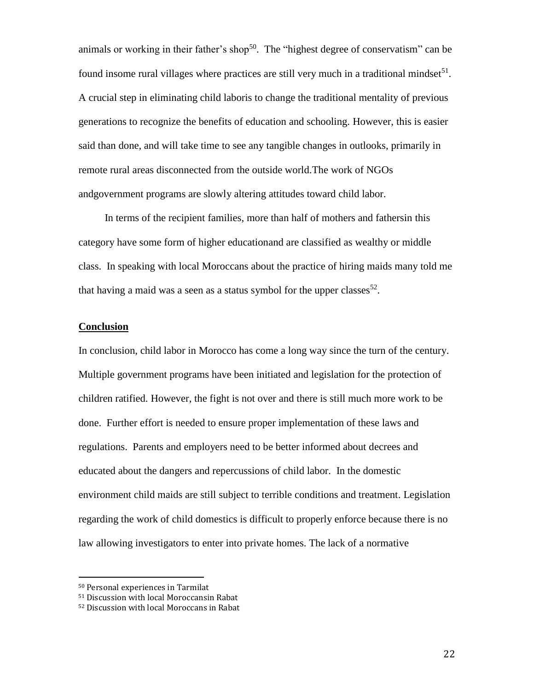animals or working in their father's shop<sup>50</sup>. The "highest degree of conservatism" can be found insome rural villages where practices are still very much in a traditional mindset $51$ . A crucial step in eliminating child laboris to change the traditional mentality of previous generations to recognize the benefits of education and schooling. However, this is easier said than done, and will take time to see any tangible changes in outlooks, primarily in remote rural areas disconnected from the outside world.The work of NGOs andgovernment programs are slowly altering attitudes toward child labor.

In terms of the recipient families, more than half of mothers and fathersin this category have some form of higher educationand are classified as wealthy or middle class. In speaking with local Moroccans about the practice of hiring maids many told me that having a maid was a seen as a status symbol for the upper classes $^{52}$ .

### **Conclusion**

In conclusion, child labor in Morocco has come a long way since the turn of the century. Multiple government programs have been initiated and legislation for the protection of children ratified. However, the fight is not over and there is still much more work to be done. Further effort is needed to ensure proper implementation of these laws and regulations. Parents and employers need to be better informed about decrees and educated about the dangers and repercussions of child labor. In the domestic environment child maids are still subject to terrible conditions and treatment. Legislation regarding the work of child domestics is difficult to properly enforce because there is no law allowing investigators to enter into private homes. The lack of a normative

 $\overline{a}$ 

22

<sup>50</sup> Personal experiences in Tarmilat

<sup>51</sup> Discussion with local Moroccansin Rabat

<sup>52</sup> Discussion with local Moroccans in Rabat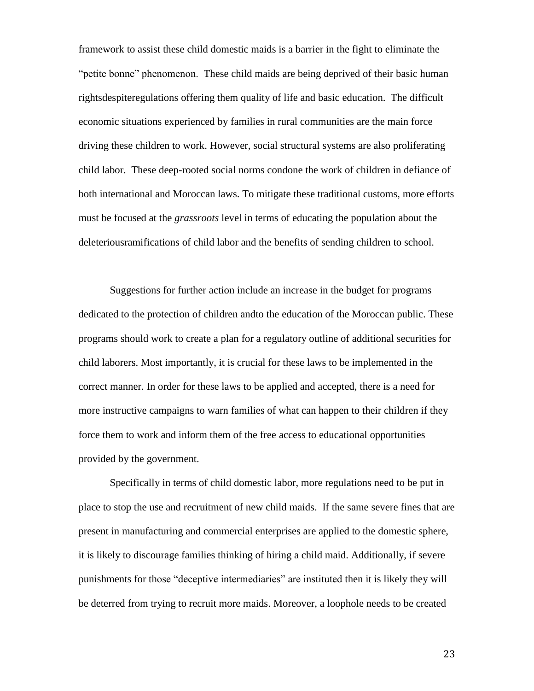framework to assist these child domestic maids is a barrier in the fight to eliminate the "petite bonne" phenomenon. These child maids are being deprived of their basic human rightsdespiteregulations offering them quality of life and basic education. The difficult economic situations experienced by families in rural communities are the main force driving these children to work. However, social structural systems are also proliferating child labor. These deep-rooted social norms condone the work of children in defiance of both international and Moroccan laws. To mitigate these traditional customs, more efforts must be focused at the *grassroots* level in terms of educating the population about the deleteriousramifications of child labor and the benefits of sending children to school.

Suggestions for further action include an increase in the budget for programs dedicated to the protection of children andto the education of the Moroccan public. These programs should work to create a plan for a regulatory outline of additional securities for child laborers. Most importantly, it is crucial for these laws to be implemented in the correct manner. In order for these laws to be applied and accepted, there is a need for more instructive campaigns to warn families of what can happen to their children if they force them to work and inform them of the free access to educational opportunities provided by the government.

Specifically in terms of child domestic labor, more regulations need to be put in place to stop the use and recruitment of new child maids. If the same severe fines that are present in manufacturing and commercial enterprises are applied to the domestic sphere, it is likely to discourage families thinking of hiring a child maid. Additionally, if severe punishments for those "deceptive intermediaries" are instituted then it is likely they will be deterred from trying to recruit more maids. Moreover, a loophole needs to be created

23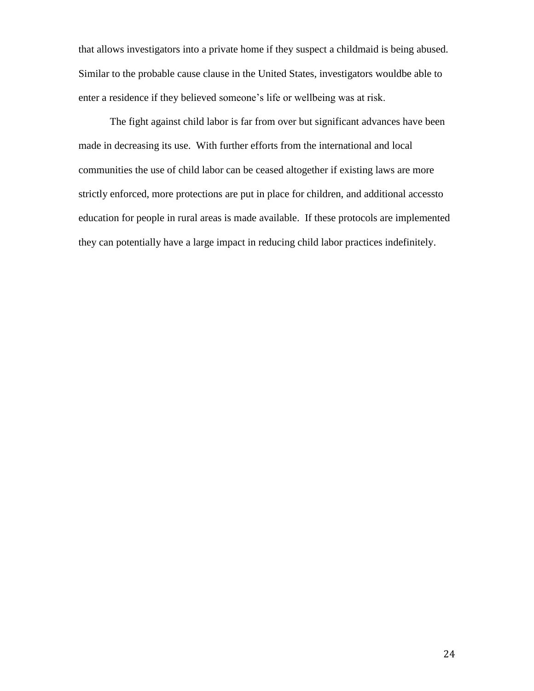that allows investigators into a private home if they suspect a childmaid is being abused. Similar to the probable cause clause in the United States, investigators wouldbe able to enter a residence if they believed someone's life or wellbeing was at risk.

The fight against child labor is far from over but significant advances have been made in decreasing its use. With further efforts from the international and local communities the use of child labor can be ceased altogether if existing laws are more strictly enforced, more protections are put in place for children, and additional accessto education for people in rural areas is made available. If these protocols are implemented they can potentially have a large impact in reducing child labor practices indefinitely.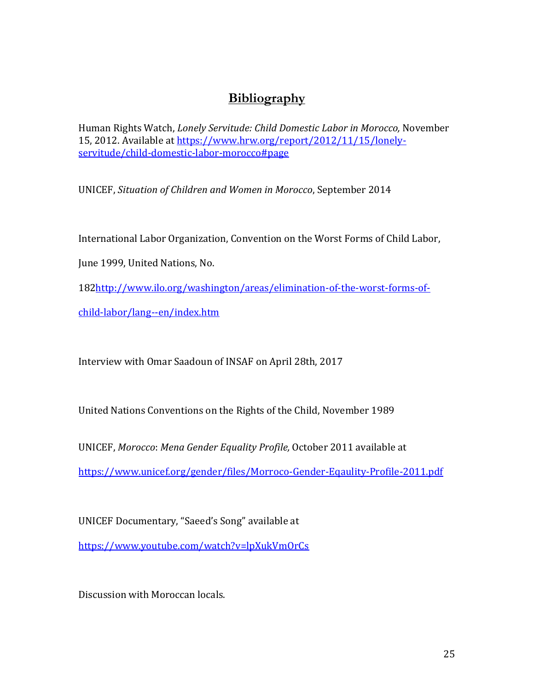# **Bibliography**

Human Rights Watch, *Lonely Servitude: Child Domestic Labor in Morocco,* November 15, 2012. Available at [https://www.hrw.org/report/2012/11/15/lonely](https://www.hrw.org/report/2012/11/15/lonely-servitude/child-domestic-labor-morocco#page)[servitude/child-domestic-labor-morocco#page](https://www.hrw.org/report/2012/11/15/lonely-servitude/child-domestic-labor-morocco#page)

UNICEF, *Situation of Children and Women in Morocco*, September 2014

International Labor Organization, Convention on the Worst Forms of Child Labor,

June 1999, United Nations, No.

18[2http://www.ilo.org/washington/areas/elimination-of-the-worst-forms-of-](http://www.ilo.org/washington/areas/elimination-of-the-worst-forms-of-child-labor/lang--en/index.htm)

[child-labor/lang--en/index.htm](http://www.ilo.org/washington/areas/elimination-of-the-worst-forms-of-child-labor/lang--en/index.htm)

Interview with Omar Saadoun of INSAF on April 28th, 2017

United Nations Conventions on the Rights of the Child, November 1989

UNICEF, *Morocco*: *Mena Gender Equality Profile,* October 2011 available at

<https://www.unicef.org/gender/files/Morroco-Gender-Eqaulity-Profile-2011.pdf>

UNICEF Documentary, "Saeed's Song" available at <https://www.youtube.com/watch?v=lpXukVmOrCs>

Discussion with Moroccan locals.